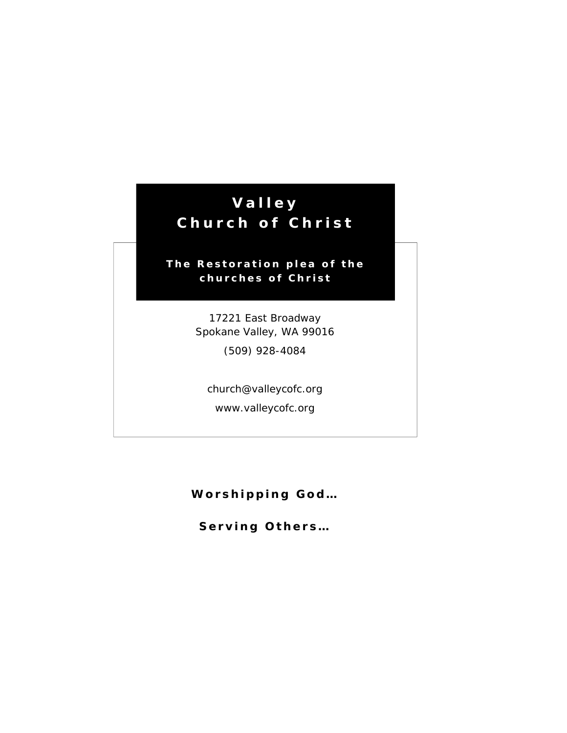## **Valley Church of Christ**

## **The Restoration plea of the churches of Christ**

17221 East Broadway Spokane Valley, WA 99016

(509) 928-4084

church@valleycofc.org

www.valleycofc.org

**Worshipping God… Worshipping God...** 

**Serving Others Serving Others…**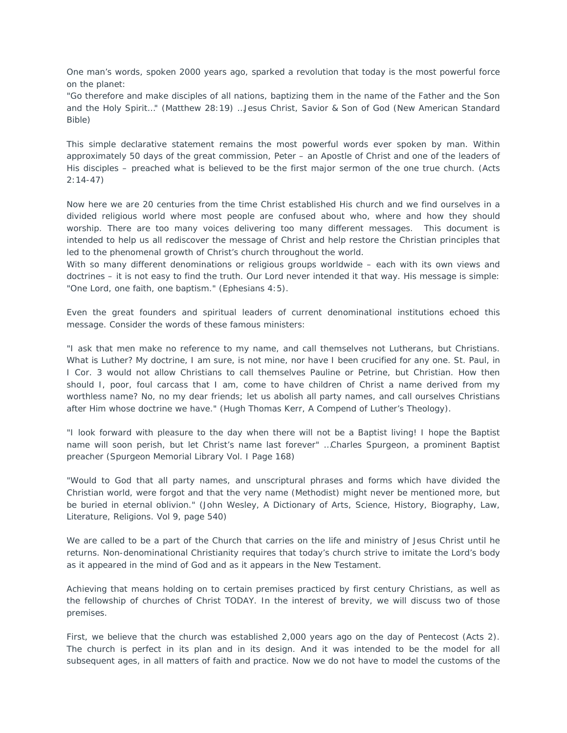One man's words, spoken 2000 years ago, sparked a revolution that today is the most powerful force on the planet:

*"Go therefore and make disciples of all nations, baptizing them in the name of the Father and the Son and the Holy Spirit…" (Matthew 28:19) …Jesus Christ, Savior & Son of God (New American Standard Bible)*

This simple declarative statement remains the most powerful words ever spoken by man. Within approximately 50 days of the great commission, Peter – an Apostle of Christ and one of the leaders of His disciples – preached what is believed to be the first major sermon of the one true church. (Acts 2:14-47)

Now here we are 20 centuries from the time Christ established His church and we find ourselves in a divided religious world where most people are confused about who, where and how they should worship. There are too many voices delivering too many different messages. This document is intended to help us all rediscover the message of Christ and help restore the Christian principles that led to the phenomenal growth of Christ's church throughout the world.

With so many different denominations or religious groups worldwide – each with its own views and doctrines – it is not easy to find the truth. Our Lord never intended it that way. His message is simple: *"One Lord, one faith, one baptism."* (Ephesians 4:5).

Even the great founders and spiritual leaders of current denominational institutions echoed this message. Consider the words of these famous ministers:

*"I ask that men make no reference to my name, and call themselves not Lutherans, but Christians. What is Luther? My doctrine, I am sure, is not mine, nor have I been crucified for any one. St. Paul, in I Cor. 3 would not allow Christians to call themselves Pauline or Petrine, but Christian. How then should I, poor, foul carcass that I am, come to have children of Christ a name derived from my worthless name? No, no my dear friends; let us abolish all party names, and call ourselves Christians after Him whose doctrine we have." (Hugh Thomas Kerr, A Compend of Luther's Theology).*

*"I look forward with pleasure to the day when there will not be a Baptist living! I hope the Baptist name will soon perish, but let Christ's name last forever" …Charles Spurgeon, a prominent Baptist preacher (Spurgeon Memorial Library Vol. I Page 168)*

*"Would to God that all party names, and unscriptural phrases and forms which have divided the Christian world, were forgot and that the very name (Methodist) might never be mentioned more, but be buried in eternal oblivion." (John Wesley, A Dictionary of Arts, Science, History, Biography, Law, Literature, Religions. Vol 9, page 540)*

We are called to be a part of the Church that carries on the life and ministry of Jesus Christ until he returns. Non-denominational Christianity requires that today's church strive to imitate the Lord's body as it appeared in the mind of God and as it appears in the New Testament.

Achieving that means holding on to certain premises practiced by first century Christians, as well as the fellowship of churches of Christ TODAY. In the interest of brevity, we will discuss two of those premises.

First, we believe that the church was established 2,000 years ago on the day of Pentecost (Acts 2). The church is perfect in its plan and in its design. And it was intended to be the model for all subsequent ages, in all matters of faith and practice. Now we do not have to model the customs of the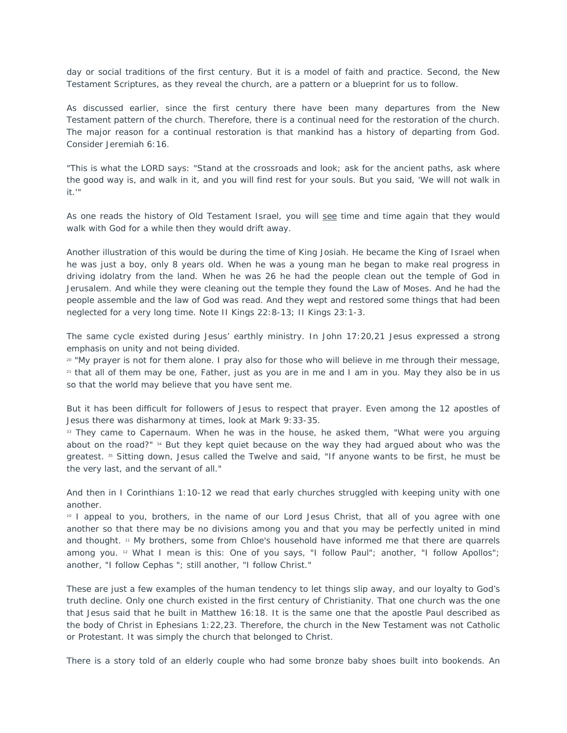day or social traditions of the first century. But it is a model of faith and practice. Second, the New Testament Scriptures, as they reveal the church, are a pattern or a blueprint for us to follow.

As discussed earlier, since the first century there have been many departures from the New Testament pattern of the church. Therefore, there is a continual need for the restoration of the church. The major reason for a continual restoration is that mankind has a history of departing from God. Consider Jeremiah 6:16.

*"This is what the LORD says: "Stand at the crossroads and look; ask for the ancient paths, ask where the good way is, and walk in it, and you will find rest for your souls. But you said, 'We will not walk in it.'"*

As one reads the history of Old Testament Israel, you will see time and time again that they would walk with God for a while then they would drift away.

Another illustration of this would be during the time of King Josiah. He became the King of Israel when he was just a boy, only 8 years old. When he was a young man he began to make real progress in driving idolatry from the land. When he was 26 he had the people clean out the temple of God in Jerusalem. And while they were cleaning out the temple they found the Law of Moses. And he had the people assemble and the law of God was read. And they wept and restored some things that had been neglected for a very long time. Note II Kings 22:8-13; II Kings 23:1-3.

The same cycle existed during Jesus' earthly ministry. In John 17:20,21 Jesus expressed a strong emphasis on unity and not being divided.

*20 "My prayer is not for them alone. I pray also for those who will believe in me through their message, 21 that all of them may be one, Father, just as you are in me and I am in you. May they also be in us so that the world may believe that you have sent me.*

But it has been difficult for followers of Jesus to respect that prayer. Even among the 12 apostles of Jesus there was disharmony at times, look at Mark 9:33-35.

*33 They came to Capernaum. When he was in the house, he asked them, "What were you arguing about on the road?" 34 But they kept quiet because on the way they had argued about who was the greatest. 35 Sitting down, Jesus called the Twelve and said, "If anyone wants to be first, he must be the very last, and the servant of all."*

And then in I Corinthians 1:10-12 we read that early churches struggled with keeping unity with one another.

*10 I appeal to you, brothers, in the name of our Lord Jesus Christ, that all of you agree with one another so that there may be no divisions among you and that you may be perfectly united in mind and thought. 11 My brothers, some from Chloe's household have informed me that there are quarrels among you. 12 What I mean is this: One of you says, "I follow Paul"; another, "I follow Apollos"; another, "I follow Cephas "; still another, "I follow Christ."*

These are just a few examples of the human tendency to let things slip away, and our loyalty to God's truth decline. Only one church existed in the first century of Christianity. That one church was the one that Jesus said that he built in Matthew 16:18. It is the same one that the apostle Paul described as the body of Christ in Ephesians 1:22,23. Therefore, the church in the New Testament was not Catholic or Protestant. It was simply the church that belonged to Christ.

There is a story told of an elderly couple who had some bronze baby shoes built into bookends. An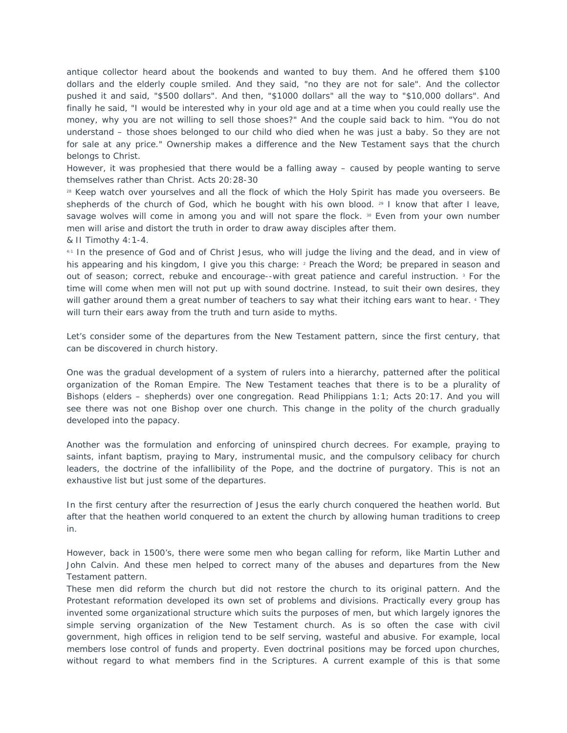antique collector heard about the bookends and wanted to buy them. And he offered them \$100 dollars and the elderly couple smiled. And they said, "no they are not for sale". And the collector pushed it and said, "\$500 dollars". And then, "\$1000 dollars" all the way to "\$10,000 dollars". And finally he said, "I would be interested why in your old age and at a time when you could really use the money, why you are not willing to sell those shoes?" And the couple said back to him. "You do not understand – those shoes belonged to our child who died when he was just a baby. So they are not for sale at any price." Ownership makes a difference and the New Testament says that the church belongs to Christ.

However, it was prophesied that there would be a falling away – caused by people wanting to serve themselves rather than Christ. Acts 20:28-30

*28 Keep watch over yourselves and all the flock of which the Holy Spirit has made you overseers. Be shepherds of the church of God, which he bought with his own blood. 29 I know that after I leave, savage wolves will come in among you and will not spare the flock. 30 Even from your own number men will arise and distort the truth in order to draw away disciples after them.*

& II Timothy 4:1-4.

*4:1 In the presence of God and of Christ Jesus, who will judge the living and the dead, and in view of his appearing and his kingdom, I give you this charge: 2 Preach the Word; be prepared in season and out of season; correct, rebuke and encourage--with great patience and careful instruction. 3 For the time will come when men will not put up with sound doctrine. Instead, to suit their own desires, they will gather around them a great number of teachers to say what their itching ears want to hear. 4 They will turn their ears away from the truth and turn aside to myths.*

Let's consider some of the departures from the New Testament pattern, since the first century, that can be discovered in church history.

One was the gradual development of a system of rulers into a hierarchy, patterned after the political organization of the Roman Empire. The New Testament teaches that there is to be a plurality of Bishops (elders – shepherds) over one congregation. Read Philippians 1:1; Acts 20:17. And you will see there was not one Bishop over one church. This change in the polity of the church gradually developed into the papacy.

Another was the formulation and enforcing of uninspired church decrees. For example, praying to saints, infant baptism, praying to Mary, instrumental music, and the compulsory celibacy for church leaders, the doctrine of the infallibility of the Pope, and the doctrine of purgatory. This is not an exhaustive list but just some of the departures.

In the first century after the resurrection of Jesus the early church conquered the heathen world. But after that the heathen world conquered to an extent the church by allowing human traditions to creep in.

However, back in 1500's, there were some men who began calling for reform, like Martin Luther and John Calvin. And these men helped to correct many of the abuses and departures from the New Testament pattern.

These men did reform the church but did not restore the church to its original pattern. And the Protestant reformation developed its own set of problems and divisions. Practically every group has invented some organizational structure which suits the purposes of men, but which largely ignores the simple serving organization of the New Testament church. As is so often the case with civil government, high offices in religion tend to be self serving, wasteful and abusive. For example, local members lose control of funds and property. Even doctrinal positions may be forced upon churches, without regard to what members find in the Scriptures. A current example of this is that some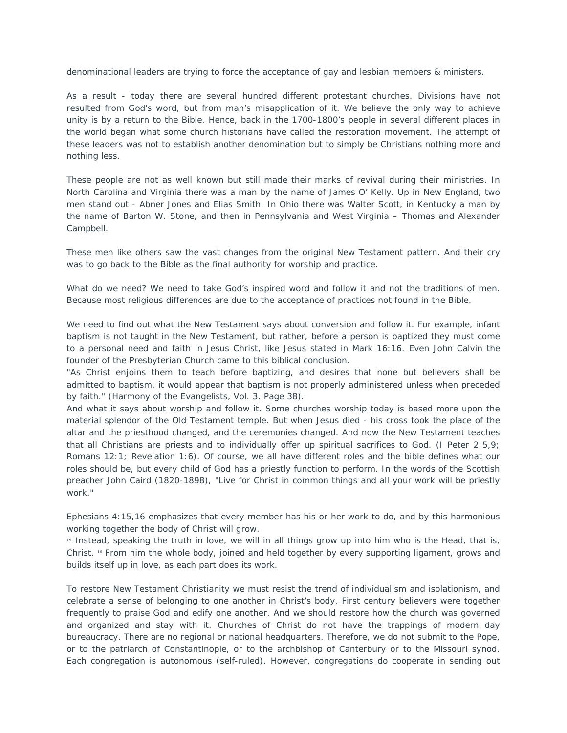denominational leaders are trying to force the acceptance of gay and lesbian members & ministers.

As a result - today there are several hundred different protestant churches. Divisions have not resulted from God's word, but from man's misapplication of it. We believe the only way to achieve unity is by a return to the Bible. Hence, back in the 1700-1800's people in several different places in the world began what some church historians have called the restoration movement. The attempt of these leaders was not to establish another denomination but to simply be Christians nothing more and nothing less.

These people are not as well known but still made their marks of revival during their ministries. In North Carolina and Virginia there was a man by the name of James O' Kelly. Up in New England, two men stand out - Abner Jones and Elias Smith. In Ohio there was Walter Scott, in Kentucky a man by the name of Barton W. Stone, and then in Pennsylvania and West Virginia – Thomas and Alexander Campbell.

These men like others saw the vast changes from the original New Testament pattern. And their cry was to go back to the Bible as the final authority for worship and practice.

What do we need? We need to take God's inspired word and follow it and not the traditions of men. Because most religious differences are due to the acceptance of practices not found in the Bible.

We need to find out what the New Testament says about conversion and follow it. For example, infant baptism is not taught in the New Testament, but rather, before a person is baptized they must come to a personal need and faith in Jesus Christ, like Jesus stated in Mark 16:16. Even John Calvin the founder of the Presbyterian Church came to this biblical conclusion.

*"As Christ enjoins them to teach before baptizing, and desires that none but believers shall be admitted to baptism, it would appear that baptism is not properly administered unless when preceded by faith." (Harmony of the Evangelists, Vol. 3. Page 38)*.

And what it says about worship and follow it. Some churches worship today is based more upon the material splendor of the Old Testament temple. But when Jesus died - his cross took the place of the altar and the priesthood changed, and the ceremonies changed. And now the New Testament teaches that all Christians are priests and to individually offer up spiritual sacrifices to God. (I Peter 2:5,9; Romans 12:1; Revelation 1:6). Of course, we all have different roles and the bible defines what our roles should be, but every child of God has a priestly function to perform. In the words of the Scottish preacher John Caird (1820-1898), *"Live for Christ in common things and all your work will be priestly work."*

Ephesians 4:15,16 emphasizes that every member has his or her work to do, and by this harmonious working together the body of Christ will grow.

*15 Instead, speaking the truth in love, we will in all things grow up into him who is the Head, that is, Christ. 16 From him the whole body, joined and held together by every supporting ligament, grows and builds itself up in love, as each part does its work.*

To restore New Testament Christianity we must resist the trend of individualism and isolationism, and celebrate a sense of belonging to one another in Christ's body. First century believers were together frequently to praise God and edify one another. And we should restore how the church was governed and organized and stay with it. Churches of Christ do not have the trappings of modern day bureaucracy. There are no regional or national headquarters. Therefore, we do not submit to the Pope, or to the patriarch of Constantinople, or to the archbishop of Canterbury or to the Missouri synod. Each congregation is autonomous (self-ruled). However, congregations do cooperate in sending out